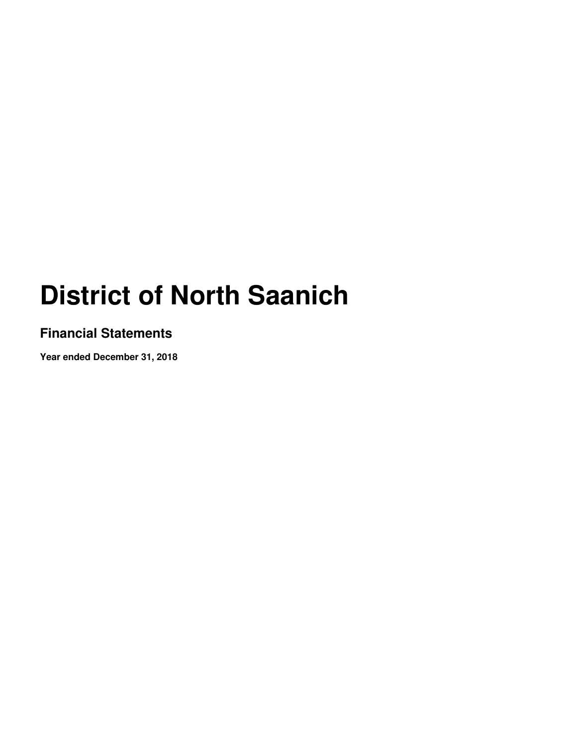### **Financial Statements**

**Year ended December 31, 2018**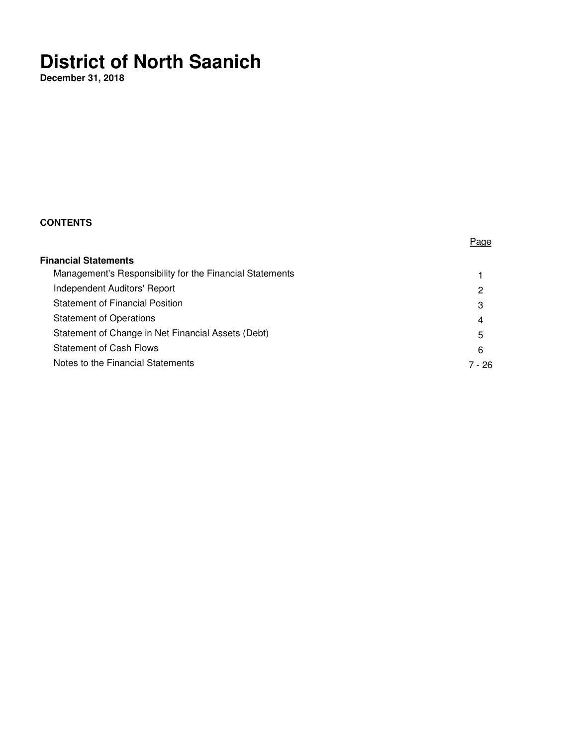**December 31, 2018** 

### **CONTENTS**

|                                                          | Page   |
|----------------------------------------------------------|--------|
| <b>Financial Statements</b>                              |        |
| Management's Responsibility for the Financial Statements |        |
| Independent Auditors' Report                             | 2      |
| <b>Statement of Financial Position</b>                   | 3      |
| <b>Statement of Operations</b>                           | 4      |
| Statement of Change in Net Financial Assets (Debt)       | 5      |
| <b>Statement of Cash Flows</b>                           | 6      |
| Notes to the Financial Statements                        | 7 - 26 |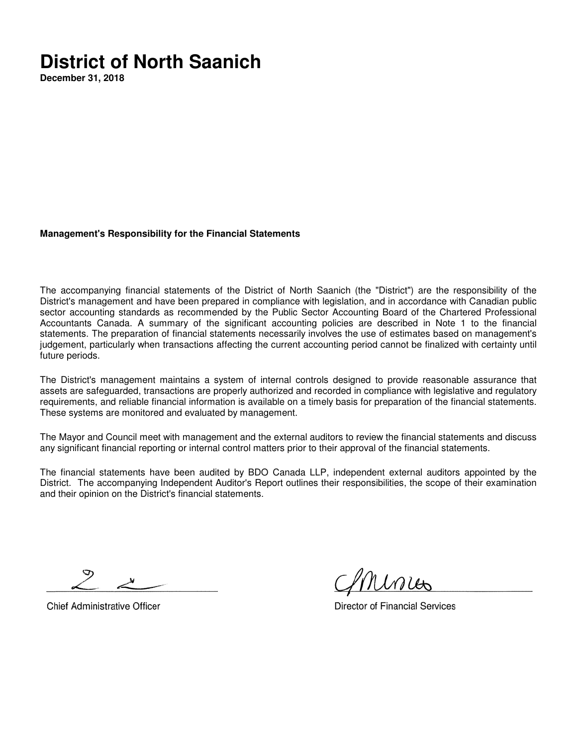**December 31, 2018** 

#### **Management's Responsibility for the Financial Statements**

The accompanying financial statements of the District of North Saanich (the "District") are the responsibility of the District's management and have been prepared in compliance with legislation, and in accordance with Canadian public sector accounting standards as recommended by the Public Sector Accounting Board of the Chartered Professional Accountants Canada. A summary of the significant accounting policies are described in Note 1 to the financial statements. The preparation of financial statements necessarily involves the use of estimates based on management's judgement, particularly when transactions affecting the current accounting period cannot be finalized with certainty until future periods.

The District's management maintains a system of internal controls designed to provide reasonable assurance that assets are safeguarded, transactions are properly authorized and recorded in compliance with legislative and regulatory requirements, and reliable financial information is available on a timely basis for preparation of the financial statements. These systems are monitored and evaluated by management.

The Mayor and Council meet with management and the external auditors to review the financial statements and discuss any significant financial reporting or internal control matters prior to their approval of the financial statements.

The financial statements have been audited by BDO Canada LLP, independent external auditors appointed by the District. The accompanying Independent Auditor's Report outlines their responsibilities, the scope of their examination and their opinion on the District's financial statements.

\_\_\_\_\_\_\_\_\_\_\_\_\_\_\_\_\_\_\_\_\_\_\_\_\_\_\_\_\_\_\_\_\_ \_\_\_\_\_\_\_\_\_\_\_\_\_\_\_\_\_\_\_\_\_\_\_\_\_\_\_\_\_\_\_\_\_\_\_\_\_\_

Chief Administrative Officer **Director of Financial Services** Director of Financial Services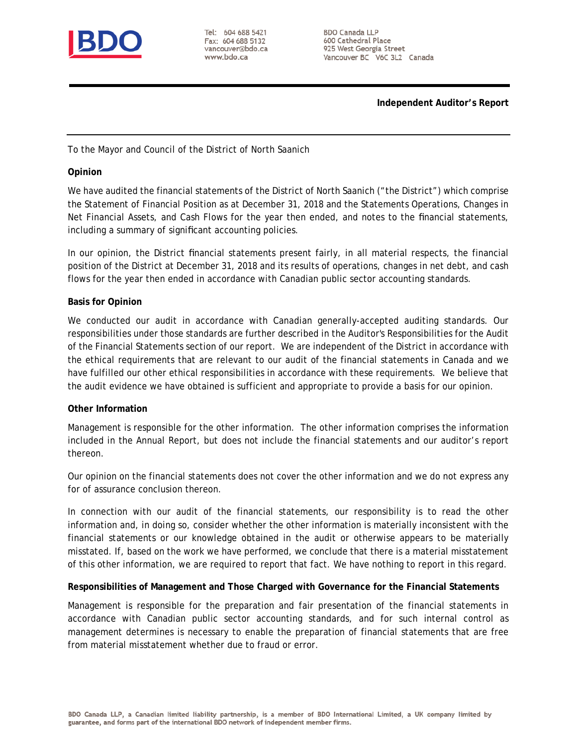

Tel: 604 688 5421 Fax: 604 688 5132 vancouver@bdo.ca www.bdo.ca

**BDO Canada LLP** 600 Cathedral Place 925 West Georgia Street Vancouver BC V6C 3L2 Canada

**Independent Auditor's Report** 

To the Mayor and Council of the District of North Saanich

#### **Opinion**

We have audited the financial statements of the District of North Saanich ("the District") which comprise the Statement of Financial Position as at December 31, 2018 and the Statements Operations, Changes in Net Financial Assets, and Cash Flows for the year then ended, and notes to the financial statements, including a summary of significant accounting policies.

In our opinion, the District financial statements present fairly, in all material respects, the financial position of the District at December 31, 2018 and its results of operations, changes in net debt, and cash flows for the year then ended in accordance with Canadian public sector accounting standards.

#### **Basis for Opinion**

We conducted our audit in accordance with Canadian generally-accepted auditing standards. Our responsibilities under those standards are further described in the Auditor's Responsibilities for the Audit of the Financial Statements section of our report. We are independent of the District in accordance with the ethical requirements that are relevant to our audit of the financial statements in Canada and we have fulfilled our other ethical responsibilities in accordance with these requirements. We believe that the audit evidence we have obtained is sufficient and appropriate to provide a basis for our opinion.

#### **Other Information**

Management is responsible for the other information. The other information comprises the information included in the Annual Report, but does not include the financial statements and our auditor's report thereon.

Our opinion on the financial statements does not cover the other information and we do not express any for of assurance conclusion thereon.

In connection with our audit of the financial statements, our responsibility is to read the other information and, in doing so, consider whether the other information is materially inconsistent with the financial statements or our knowledge obtained in the audit or otherwise appears to be materially misstated. If, based on the work we have performed, we conclude that there is a material misstatement of this other information, we are required to report that fact. We have nothing to report in this regard.

#### **Responsibilities of Management and Those Charged with Governance for the Financial Statements**

Management is responsible for the preparation and fair presentation of the financial statements in accordance with Canadian public sector accounting standards, and for such internal control as management determines is necessary to enable the preparation of financial statements that are free from material misstatement whether due to fraud or error.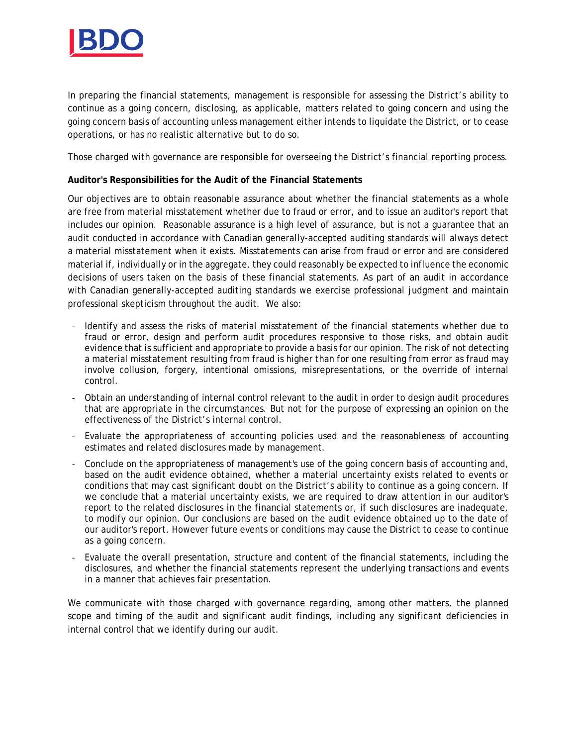

In preparing the financial statements, management is responsible for assessing the District's ability to continue as a going concern, disclosing, as applicable, matters related to going concern and using the going concern basis of accounting unless management either intends to liquidate the District, or to cease operations, or has no realistic alternative but to do so.

Those charged with governance are responsible for overseeing the District's financial reporting process.

#### **Auditor's Responsibilities for the Audit of the Financial Statements**

Our objectives are to obtain reasonable assurance about whether the financial statements as a whole are free from material misstatement whether due to fraud or error, and to issue an auditor's report that includes our opinion. Reasonable assurance is a high level of assurance, but is not a guarantee that an audit conducted in accordance with Canadian generally-accepted auditing standards will always detect a material misstatement when it exists. Misstatements can arise from fraud or error and are considered material if, individually or in the aggregate, they could reasonably be expected to influence the economic decisions of users taken on the basis of these financial statements. As part of an audit in accordance with Canadian generally-accepted auditing standards we exercise professional judgment and maintain professional skepticism throughout the audit. We also:

- Identify and assess the risks of material misstatement of the financial statements whether due to fraud or error, design and perform audit procedures responsive to those risks, and obtain audit evidence that is sufficient and appropriate to provide a basis for our opinion. The risk of not detecting a material misstatement resulting from fraud is higher than for one resulting from error as fraud may involve collusion, forgery, intentional omissions, misrepresentations, or the override of internal control.
- Obtain an understanding of internal control relevant to the audit in order to design audit procedures that are appropriate in the circumstances. But not for the purpose of expressing an opinion on the effectiveness of the District's internal control.
- Evaluate the appropriateness of accounting policies used and the reasonableness of accounting estimates and related disclosures made by management.
- Conclude on the appropriateness of management's use of the going concern basis of accounting and, based on the audit evidence obtained, whether a material uncertainty exists related to events or conditions that may cast significant doubt on the District's ability to continue as a going concern. If we conclude that a material uncertainty exists, we are required to draw attention in our auditor's report to the related disclosures in the financial statements or, if such disclosures are inadequate, to modify our opinion. Our conclusions are based on the audit evidence obtained up to the date of our auditor's report. However future events or conditions may cause the District to cease to continue as a going concern.
- Evaluate the overall presentation, structure and content of the financial statements, including the disclosures, and whether the financial statements represent the underlying transactions and events in a manner that achieves fair presentation.

We communicate with those charged with governance regarding, among other matters, the planned scope and timing of the audit and significant audit findings, including any significant deficiencies in internal control that we identify during our audit.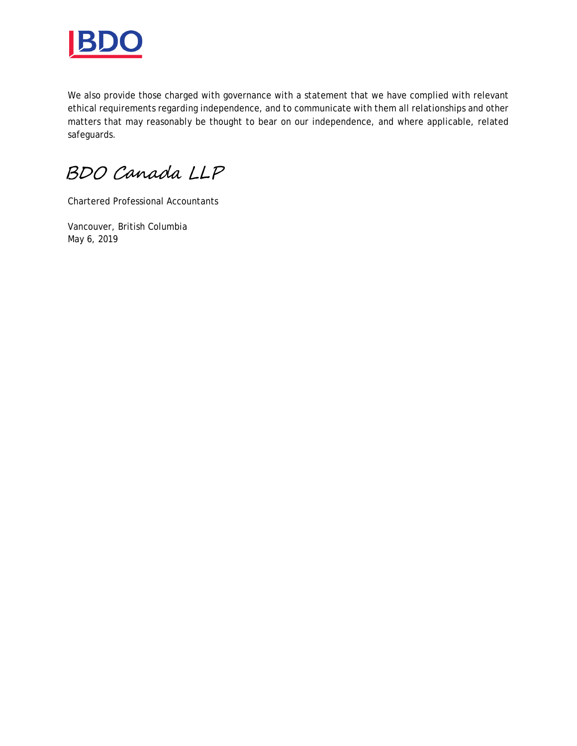

We also provide those charged with governance with a statement that we have complied with relevant ethical requirements regarding independence, and to communicate with them all relationships and other matters that may reasonably be thought to bear on our independence, and where applicable, related safeguards.

BDO Canada LLP

Chartered Professional Accountants

Vancouver, British Columbia May 6, 2019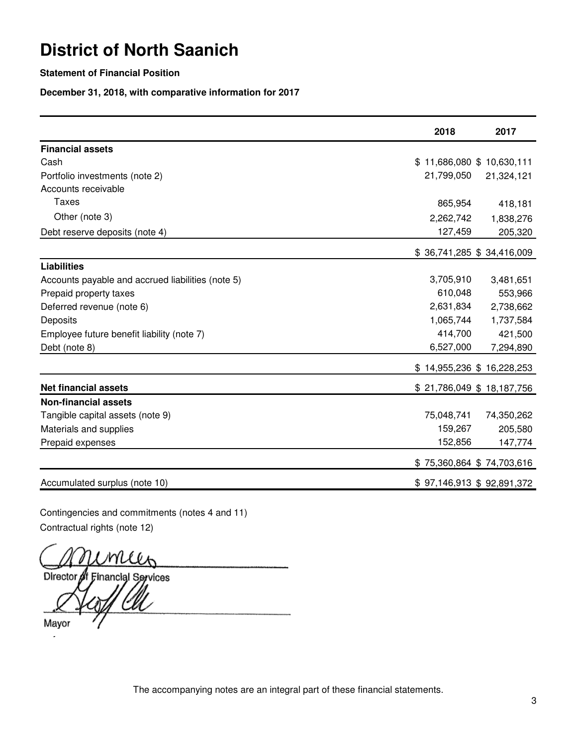### **Statement of Financial Position**

**December 31, 2018, with comparative information for 2017**

|                                                   | 2018                      | 2017       |
|---------------------------------------------------|---------------------------|------------|
| <b>Financial assets</b>                           |                           |            |
| Cash                                              | \$11,686,080 \$10,630,111 |            |
| Portfolio investments (note 2)                    | 21,799,050                | 21,324,121 |
| Accounts receivable                               |                           |            |
| Taxes                                             | 865,954                   | 418,181    |
| Other (note 3)                                    | 2,262,742                 | 1,838,276  |
| Debt reserve deposits (note 4)                    | 127,459                   | 205,320    |
|                                                   | \$36,741,285 \$34,416,009 |            |
| <b>Liabilities</b>                                |                           |            |
| Accounts payable and accrued liabilities (note 5) | 3,705,910                 | 3,481,651  |
| Prepaid property taxes                            | 610,048                   | 553,966    |
| Deferred revenue (note 6)                         | 2,631,834                 | 2,738,662  |
| Deposits                                          | 1,065,744                 | 1,737,584  |
| Employee future benefit liability (note 7)        | 414,700                   | 421,500    |
| Debt (note 8)                                     | 6,527,000                 | 7,294,890  |
|                                                   | \$14,955,236 \$16,228,253 |            |
| <b>Net financial assets</b>                       | \$21,786,049 \$18,187,756 |            |
| <b>Non-financial assets</b>                       |                           |            |
| Tangible capital assets (note 9)                  | 75,048,741                | 74,350,262 |
| Materials and supplies                            | 159,267                   | 205,580    |
| Prepaid expenses                                  | 152,856                   | 147,774    |
|                                                   | \$75,360,864 \$74,703,616 |            |
| Accumulated surplus (note 10)                     | \$97,146,913 \$92,891,372 |            |

Contingencies and commitments (notes 4 and 11) Contractual rights (note 12)

Director of Financial Services

 $\mathcal{U}$   $\mathcal{U}/\mathcal{U}$  $\frac{1}{2}$ 

Mayor

The accompanying notes are an integral part of these financial statements.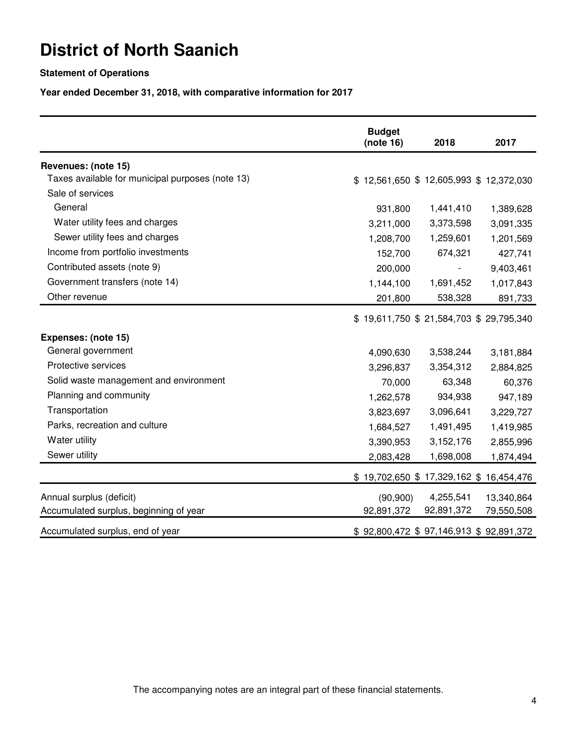### **Statement of Operations**

**Year ended December 31, 2018, with comparative information for 2017**

|                                                  | <b>Budget</b>                          |            |            |
|--------------------------------------------------|----------------------------------------|------------|------------|
|                                                  | (note 16)                              | 2018       | 2017       |
| Revenues: (note 15)                              |                                        |            |            |
| Taxes available for municipal purposes (note 13) | \$12,561,650 \$12,605,993 \$12,372,030 |            |            |
| Sale of services                                 |                                        |            |            |
| General                                          | 931,800                                | 1,441,410  | 1,389,628  |
| Water utility fees and charges                   | 3,211,000                              | 3,373,598  | 3,091,335  |
| Sewer utility fees and charges                   | 1,208,700                              | 1,259,601  | 1,201,569  |
| Income from portfolio investments                | 152,700                                | 674,321    | 427,741    |
| Contributed assets (note 9)                      | 200,000                                |            | 9,403,461  |
| Government transfers (note 14)                   | 1,144,100                              | 1,691,452  | 1,017,843  |
| Other revenue                                    | 201,800                                | 538,328    | 891,733    |
|                                                  | \$19,611,750 \$21,584,703 \$29,795,340 |            |            |
| Expenses: (note 15)                              |                                        |            |            |
| General government                               | 4,090,630                              | 3,538,244  | 3,181,884  |
| Protective services                              | 3,296,837                              | 3,354,312  | 2,884,825  |
| Solid waste management and environment           | 70,000                                 | 63,348     | 60,376     |
| Planning and community                           | 1,262,578                              | 934,938    | 947,189    |
| Transportation                                   | 3,823,697                              | 3,096,641  | 3,229,727  |
| Parks, recreation and culture                    | 1,684,527                              | 1,491,495  | 1,419,985  |
| Water utility                                    | 3,390,953                              | 3,152,176  | 2,855,996  |
| Sewer utility                                    | 2,083,428                              | 1,698,008  | 1,874,494  |
|                                                  | \$19,702,650 \$17,329,162 \$16,454,476 |            |            |
| Annual surplus (deficit)                         | (90, 900)                              | 4,255,541  | 13,340,864 |
| Accumulated surplus, beginning of year           | 92,891,372                             | 92,891,372 | 79,550,508 |
| Accumulated surplus, end of year                 | \$92,800,472 \$97,146,913 \$92,891,372 |            |            |

The accompanying notes are an integral part of these financial statements.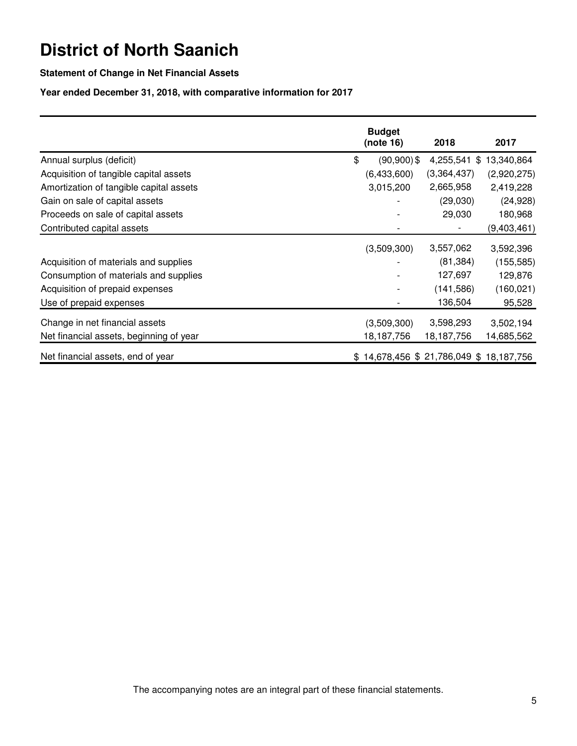### **Statement of Change in Net Financial Assets**

### **Year ended December 31, 2018, with comparative information for 2017**

|                                         | <b>Budget</b>                          |              |             |
|-----------------------------------------|----------------------------------------|--------------|-------------|
|                                         | (note 16)                              | 2018         | 2017        |
| Annual surplus (deficit)                | \$<br>$(90,900)$ \$                    | 4,255,541 \$ | 13,340,864  |
| Acquisition of tangible capital assets  | (6,433,600)                            | (3,364,437)  | (2,920,275) |
| Amortization of tangible capital assets | 3,015,200                              | 2,665,958    | 2,419,228   |
| Gain on sale of capital assets          |                                        | (29,030)     | (24, 928)   |
| Proceeds on sale of capital assets      |                                        | 29,030       | 180,968     |
| Contributed capital assets              |                                        |              | (9,403,461) |
|                                         | (3,509,300)                            | 3,557,062    | 3,592,396   |
| Acquisition of materials and supplies   |                                        | (81, 384)    | (155, 585)  |
| Consumption of materials and supplies   |                                        | 127,697      | 129,876     |
| Acquisition of prepaid expenses         |                                        | (141, 586)   | (160, 021)  |
| Use of prepaid expenses                 |                                        | 136,504      | 95,528      |
| Change in net financial assets          | (3,509,300)                            | 3,598,293    | 3,502,194   |
| Net financial assets, beginning of year | 18,187,756                             | 18,187,756   | 14,685,562  |
| Net financial assets, end of year       | \$14,678,456 \$21,786,049 \$18,187,756 |              |             |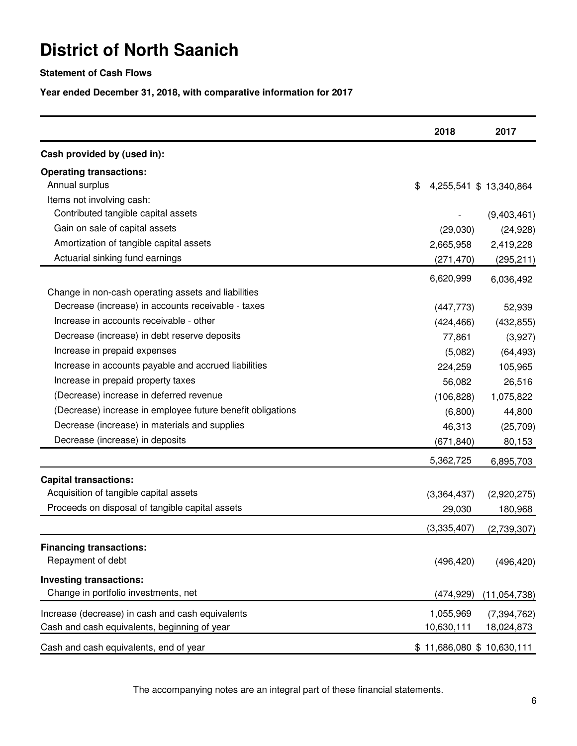### **Statement of Cash Flows**

**Year ended December 31, 2018, with comparative information for 2017**

|                                                            | 2018                      | 2017                    |
|------------------------------------------------------------|---------------------------|-------------------------|
| Cash provided by (used in):                                |                           |                         |
| <b>Operating transactions:</b>                             |                           |                         |
| Annual surplus                                             | \$                        | 4,255,541 \$ 13,340,864 |
| Items not involving cash:                                  |                           |                         |
| Contributed tangible capital assets                        |                           | (9,403,461)             |
| Gain on sale of capital assets                             | (29,030)                  | (24, 928)               |
| Amortization of tangible capital assets                    | 2,665,958                 | 2,419,228               |
| Actuarial sinking fund earnings                            | (271, 470)                | (295, 211)              |
|                                                            | 6,620,999                 | 6,036,492               |
| Change in non-cash operating assets and liabilities        |                           |                         |
| Decrease (increase) in accounts receivable - taxes         | (447, 773)                | 52,939                  |
| Increase in accounts receivable - other                    | (424, 466)                | (432, 855)              |
| Decrease (increase) in debt reserve deposits               | 77,861                    | (3,927)                 |
| Increase in prepaid expenses                               | (5,082)                   | (64, 493)               |
| Increase in accounts payable and accrued liabilities       | 224,259                   | 105,965                 |
| Increase in prepaid property taxes                         | 56,082                    | 26,516                  |
| (Decrease) increase in deferred revenue                    | (106, 828)                | 1,075,822               |
| (Decrease) increase in employee future benefit obligations | (6,800)                   | 44,800                  |
| Decrease (increase) in materials and supplies              | 46,313                    | (25, 709)               |
| Decrease (increase) in deposits                            | (671, 840)                | 80,153                  |
|                                                            | 5,362,725                 | 6,895,703               |
| <b>Capital transactions:</b>                               |                           |                         |
| Acquisition of tangible capital assets                     | (3,364,437)               | (2,920,275)             |
| Proceeds on disposal of tangible capital assets            | 29,030                    | 180,968                 |
|                                                            | (3,335,407)               | (2,739,307)             |
| <b>Financing transactions:</b>                             |                           |                         |
| Repayment of debt                                          | (496, 420)                | (496, 420)              |
| <b>Investing transactions:</b>                             |                           |                         |
| Change in portfolio investments, net                       | (474,929)                 | (11, 054, 738)          |
| Increase (decrease) in cash and cash equivalents           | 1,055,969                 | (7, 394, 762)           |
| Cash and cash equivalents, beginning of year               | 10,630,111                | 18,024,873              |
| Cash and cash equivalents, end of year                     | \$11,686,080 \$10,630,111 |                         |

The accompanying notes are an integral part of these financial statements.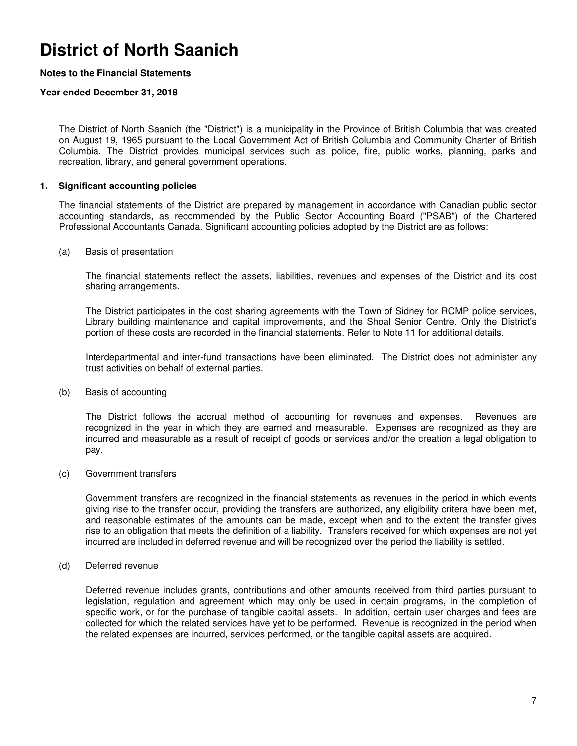#### **Notes to the Financial Statements**

#### **Year ended December 31, 2018**

The District of North Saanich (the "District") is a municipality in the Province of British Columbia that was created on August 19, 1965 pursuant to the Local Government Act of British Columbia and Community Charter of British Columbia. The District provides municipal services such as police, fire, public works, planning, parks and recreation, library, and general government operations.

#### **1. Significant accounting policies**

The financial statements of the District are prepared by management in accordance with Canadian public sector accounting standards, as recommended by the Public Sector Accounting Board ("PSAB") of the Chartered Professional Accountants Canada. Significant accounting policies adopted by the District are as follows:

#### (a) Basis of presentation

The financial statements reflect the assets, liabilities, revenues and expenses of the District and its cost sharing arrangements.

The District participates in the cost sharing agreements with the Town of Sidney for RCMP police services, Library building maintenance and capital improvements, and the Shoal Senior Centre. Only the District's portion of these costs are recorded in the financial statements. Refer to Note 11 for additional details.

Interdepartmental and inter-fund transactions have been eliminated. The District does not administer any trust activities on behalf of external parties.

#### (b) Basis of accounting

The District follows the accrual method of accounting for revenues and expenses. Revenues are recognized in the year in which they are earned and measurable. Expenses are recognized as they are incurred and measurable as a result of receipt of goods or services and/or the creation a legal obligation to pay.

#### (c) Government transfers

Government transfers are recognized in the financial statements as revenues in the period in which events giving rise to the transfer occur, providing the transfers are authorized, any eligibility critera have been met, and reasonable estimates of the amounts can be made, except when and to the extent the transfer gives rise to an obligation that meets the definition of a liability. Transfers received for which expenses are not yet incurred are included in deferred revenue and will be recognized over the period the liability is settled.

#### (d) Deferred revenue

Deferred revenue includes grants, contributions and other amounts received from third parties pursuant to legislation, regulation and agreement which may only be used in certain programs, in the completion of specific work, or for the purchase of tangible capital assets. In addition, certain user charges and fees are collected for which the related services have yet to be performed. Revenue is recognized in the period when the related expenses are incurred, services performed, or the tangible capital assets are acquired.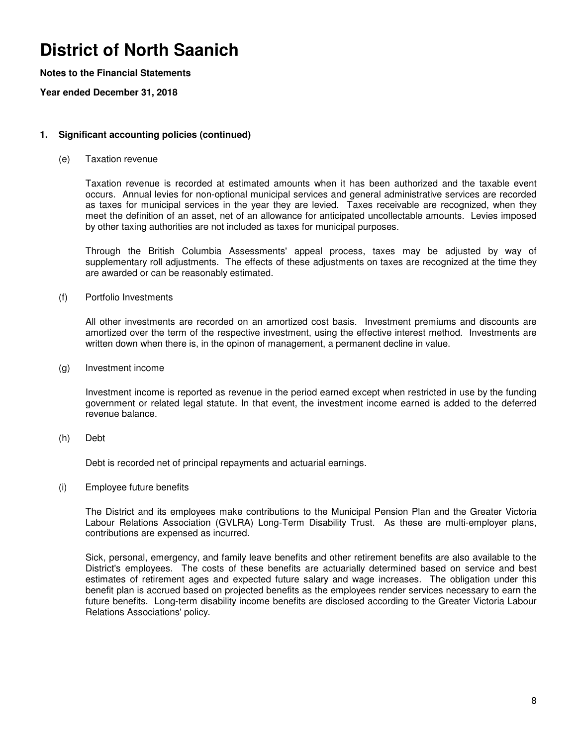#### **Notes to the Financial Statements**

**Year ended December 31, 2018**

#### **1. Significant accounting policies (continued)**

(e) Taxation revenue

Taxation revenue is recorded at estimated amounts when it has been authorized and the taxable event occurs. Annual levies for non-optional municipal services and general administrative services are recorded as taxes for municipal services in the year they are levied. Taxes receivable are recognized, when they meet the definition of an asset, net of an allowance for anticipated uncollectable amounts. Levies imposed by other taxing authorities are not included as taxes for municipal purposes.

Through the British Columbia Assessments' appeal process, taxes may be adjusted by way of supplementary roll adjustments. The effects of these adjustments on taxes are recognized at the time they are awarded or can be reasonably estimated.

(f) Portfolio Investments

All other investments are recorded on an amortized cost basis. Investment premiums and discounts are amortized over the term of the respective investment, using the effective interest method. Investments are written down when there is, in the opinon of management, a permanent decline in value.

(g) Investment income

Investment income is reported as revenue in the period earned except when restricted in use by the funding government or related legal statute. In that event, the investment income earned is added to the deferred revenue balance.

(h) Debt

Debt is recorded net of principal repayments and actuarial earnings.

(i) Employee future benefits

The District and its employees make contributions to the Municipal Pension Plan and the Greater Victoria Labour Relations Association (GVLRA) Long-Term Disability Trust. As these are multi-employer plans, contributions are expensed as incurred.

Sick, personal, emergency, and family leave benefits and other retirement benefits are also available to the District's employees. The costs of these benefits are actuarially determined based on service and best estimates of retirement ages and expected future salary and wage increases. The obligation under this benefit plan is accrued based on projected benefits as the employees render services necessary to earn the future benefits. Long-term disability income benefits are disclosed according to the Greater Victoria Labour Relations Associations' policy.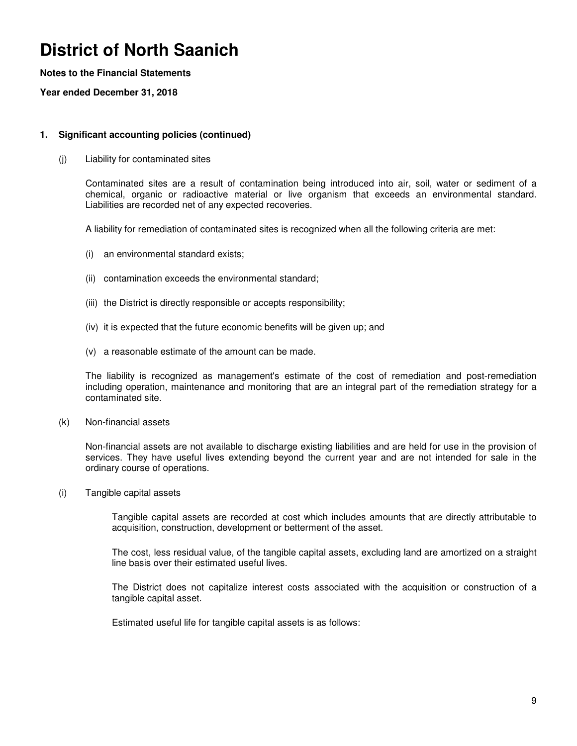#### **Notes to the Financial Statements**

**Year ended December 31, 2018**

#### **1. Significant accounting policies (continued)**

(j) Liability for contaminated sites

Contaminated sites are a result of contamination being introduced into air, soil, water or sediment of a chemical, organic or radioactive material or live organism that exceeds an environmental standard. Liabilities are recorded net of any expected recoveries.

A liability for remediation of contaminated sites is recognized when all the following criteria are met:

- (i) an environmental standard exists;
- (ii) contamination exceeds the environmental standard;
- (iii) the District is directly responsible or accepts responsibility;
- (iv) it is expected that the future economic benefits will be given up; and
- (v) a reasonable estimate of the amount can be made.

The liability is recognized as management's estimate of the cost of remediation and post-remediation including operation, maintenance and monitoring that are an integral part of the remediation strategy for a contaminated site.

(k) Non-financial assets

Non-financial assets are not available to discharge existing liabilities and are held for use in the provision of services. They have useful lives extending beyond the current year and are not intended for sale in the ordinary course of operations.

(i) Tangible capital assets

Tangible capital assets are recorded at cost which includes amounts that are directly attributable to acquisition, construction, development or betterment of the asset.

The cost, less residual value, of the tangible capital assets, excluding land are amortized on a straight line basis over their estimated useful lives.

The District does not capitalize interest costs associated with the acquisition or construction of a tangible capital asset.

Estimated useful life for tangible capital assets is as follows: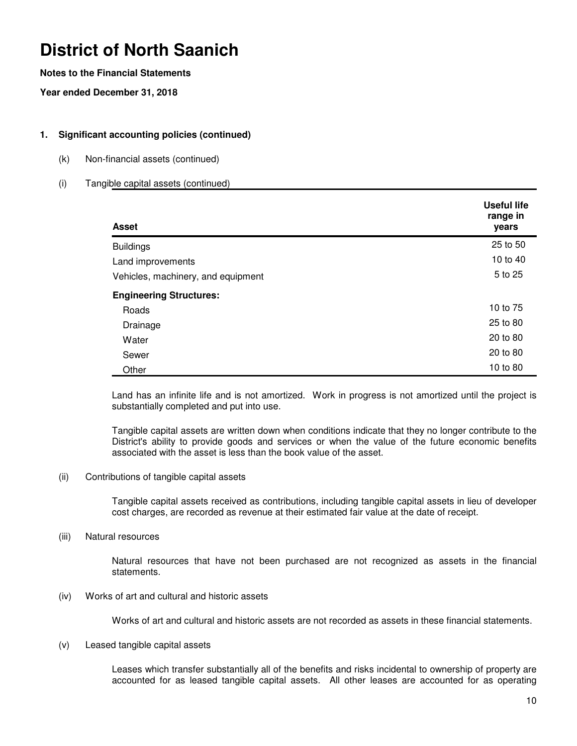### **Notes to the Financial Statements**

**Year ended December 31, 2018**

#### **1. Significant accounting policies (continued)**

(k) Non-financial assets (continued)

#### (i) Tangible capital assets (continued)

| <b>Asset</b>                       | Useful life<br>range in<br>years |
|------------------------------------|----------------------------------|
| <b>Buildings</b>                   | 25 to 50                         |
| Land improvements                  | 10 to 40                         |
| Vehicles, machinery, and equipment | 5 to 25                          |
| <b>Engineering Structures:</b>     |                                  |
| Roads                              | 10 to 75                         |
| Drainage                           | 25 to 80                         |
| Water                              | 20 to 80                         |
| Sewer                              | 20 to 80                         |
| Other                              | 10 to 80                         |

Land has an infinite life and is not amortized. Work in progress is not amortized until the project is substantially completed and put into use.

Tangible capital assets are written down when conditions indicate that they no longer contribute to the District's ability to provide goods and services or when the value of the future economic benefits associated with the asset is less than the book value of the asset.

(ii) Contributions of tangible capital assets

Tangible capital assets received as contributions, including tangible capital assets in lieu of developer cost charges, are recorded as revenue at their estimated fair value at the date of receipt.

(iii) Natural resources

Natural resources that have not been purchased are not recognized as assets in the financial statements.

(iv) Works of art and cultural and historic assets

Works of art and cultural and historic assets are not recorded as assets in these financial statements.

(v) Leased tangible capital assets

Leases which transfer substantially all of the benefits and risks incidental to ownership of property are accounted for as leased tangible capital assets. All other leases are accounted for as operating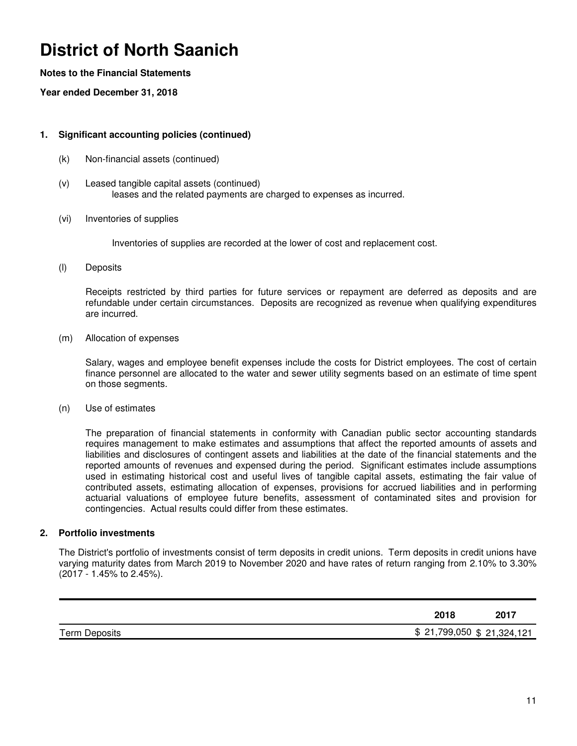#### **Notes to the Financial Statements**

**Year ended December 31, 2018**

#### **1. Significant accounting policies (continued)**

- (k) Non-financial assets (continued)
- (v) Leased tangible capital assets (continued) leases and the related payments are charged to expenses as incurred.
- (vi) Inventories of supplies

Inventories of supplies are recorded at the lower of cost and replacement cost.

(l) Deposits

Receipts restricted by third parties for future services or repayment are deferred as deposits and are refundable under certain circumstances. Deposits are recognized as revenue when qualifying expenditures are incurred.

(m) Allocation of expenses

Salary, wages and employee benefit expenses include the costs for District employees. The cost of certain finance personnel are allocated to the water and sewer utility segments based on an estimate of time spent on those segments.

(n) Use of estimates

The preparation of financial statements in conformity with Canadian public sector accounting standards requires management to make estimates and assumptions that affect the reported amounts of assets and liabilities and disclosures of contingent assets and liabilities at the date of the financial statements and the reported amounts of revenues and expensed during the period. Significant estimates include assumptions used in estimating historical cost and useful lives of tangible capital assets, estimating the fair value of contributed assets, estimating allocation of expenses, provisions for accrued liabilities and in performing actuarial valuations of employee future benefits, assessment of contaminated sites and provision for contingencies. Actual results could differ from these estimates.

#### **2. Portfolio investments**

The District's portfolio of investments consist of term deposits in credit unions. Term deposits in credit unions have varying maturity dates from March 2019 to November 2020 and have rates of return ranging from 2.10% to 3.30% (2017 - 1.45% to 2.45%).

|                      | 2017                      |  |
|----------------------|---------------------------|--|
| <b>Term Deposits</b> | \$21,799,050 \$21,324,121 |  |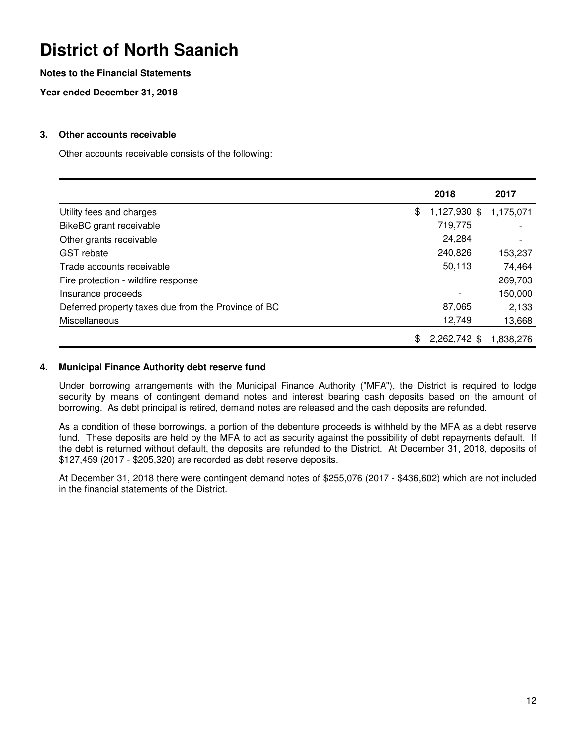#### **Notes to the Financial Statements**

**Year ended December 31, 2018**

#### **3. Other accounts receivable**

Other accounts receivable consists of the following:

|                                                     | 2018               | 2017      |
|-----------------------------------------------------|--------------------|-----------|
| Utility fees and charges                            | \$<br>1,127,930 \$ | 1,175,071 |
| BikeBC grant receivable                             | 719,775            |           |
| Other grants receivable                             | 24,284             |           |
| <b>GST</b> rebate                                   | 240,826            | 153.237   |
| Trade accounts receivable                           | 50,113             | 74,464    |
| Fire protection - wildfire response                 |                    | 269,703   |
| Insurance proceeds                                  |                    | 150,000   |
| Deferred property taxes due from the Province of BC | 87,065             | 2,133     |
| Miscellaneous                                       | 12,749             | 13,668    |
|                                                     | \$<br>2,262,742 \$ | 1.838.276 |

#### **4. Municipal Finance Authority debt reserve fund**

Under borrowing arrangements with the Municipal Finance Authority ("MFA"), the District is required to lodge security by means of contingent demand notes and interest bearing cash deposits based on the amount of borrowing. As debt principal is retired, demand notes are released and the cash deposits are refunded.

As a condition of these borrowings, a portion of the debenture proceeds is withheld by the MFA as a debt reserve fund. These deposits are held by the MFA to act as security against the possibility of debt repayments default. If the debt is returned without default, the deposits are refunded to the District. At December 31, 2018, deposits of \$127,459 (2017 - \$205,320) are recorded as debt reserve deposits.

At December 31, 2018 there were contingent demand notes of \$255,076 (2017 - \$436,602) which are not included in the financial statements of the District.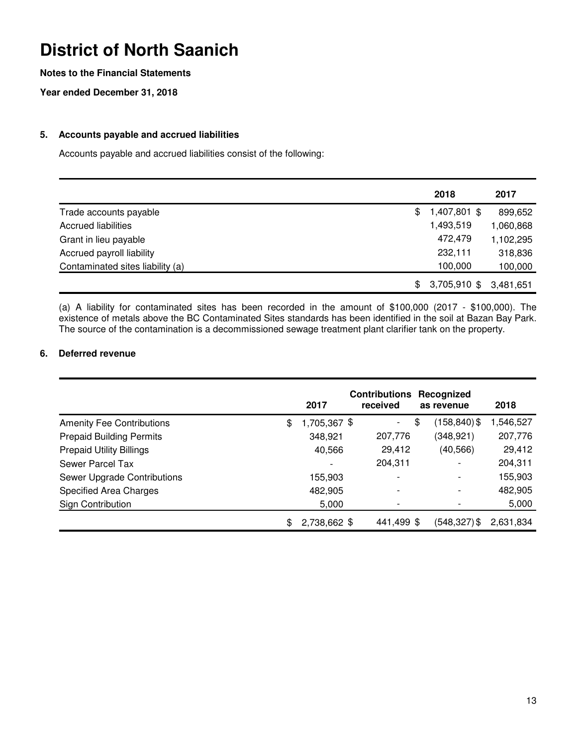#### **Notes to the Financial Statements**

**Year ended December 31, 2018**

#### **5. Accounts payable and accrued liabilities**

Accounts payable and accrued liabilities consist of the following:

|                                  | 2018                         | 2017      |
|----------------------------------|------------------------------|-----------|
| Trade accounts payable           | \$<br>1,407,801 \$           | 899,652   |
| <b>Accrued liabilities</b>       | 1,493,519                    | 1,060,868 |
| Grant in lieu payable            | 472,479                      | 1,102,295 |
| Accrued payroll liability        | 232,111                      | 318,836   |
| Contaminated sites liability (a) | 100,000                      | 100,000   |
|                                  | \$<br>3,705,910 \$ 3,481,651 |           |

(a) A liability for contaminated sites has been recorded in the amount of \$100,000 (2017 - \$100,000). The existence of metals above the BC Contaminated Sites standards has been identified in the soil at Bazan Bay Park. The source of the contamination is a decommissioned sewage treatment plant clarifier tank on the property.

#### **6. Deferred revenue**

|                                        | 2017                     | <b>Contributions</b><br>received | Recognized<br>as revenue | 2018      |
|----------------------------------------|--------------------------|----------------------------------|--------------------------|-----------|
| <b>Amenity Fee Contributions</b><br>\$ | 1,705,367 \$             | $\overline{\phantom{0}}$         | \$<br>$(158, 840)$ \$    | 1,546,527 |
| <b>Prepaid Building Permits</b>        | 348,921                  | 207,776                          | (348, 921)               | 207,776   |
| <b>Prepaid Utility Billings</b>        | 40,566                   | 29,412                           | (40, 566)                | 29,412    |
| Sewer Parcel Tax                       | $\overline{\phantom{a}}$ | 204,311                          |                          | 204,311   |
| Sewer Upgrade Contributions            | 155,903                  | $\overline{\phantom{0}}$         |                          | 155,903   |
| <b>Specified Area Charges</b>          | 482,905                  | $\overline{\phantom{0}}$         |                          | 482,905   |
| Sign Contribution                      | 5,000                    |                                  |                          | 5,000     |
| \$                                     | 2,738,662 \$             | 441,499 \$                       | $(548, 327)$ \$          | 2,631,834 |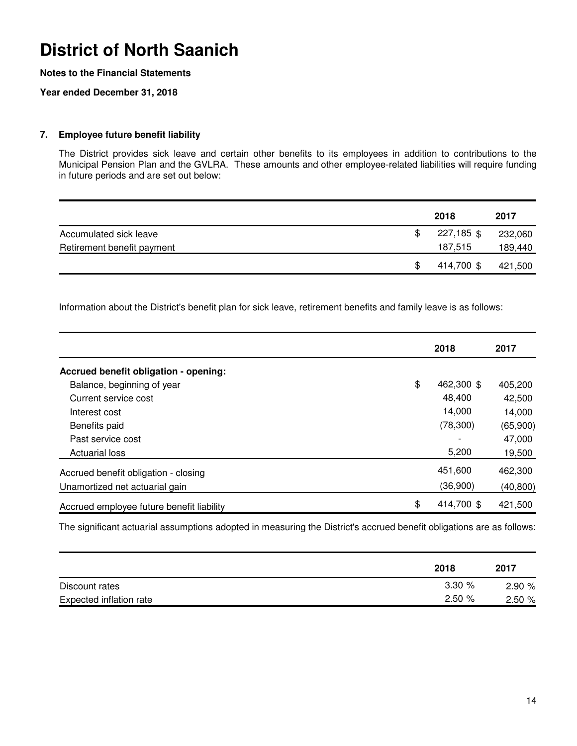#### **Notes to the Financial Statements**

#### **Year ended December 31, 2018**

#### **7. Employee future benefit liability**

The District provides sick leave and certain other benefits to its employees in addition to contributions to the Municipal Pension Plan and the GVLRA. These amounts and other employee-related liabilities will require funding in future periods and are set out below:

|                            | 2018             | 2017    |
|----------------------------|------------------|---------|
| Accumulated sick leave     | \$<br>227,185 \$ | 232,060 |
| Retirement benefit payment | 187,515          | 189,440 |
|                            | 414,700 \$       | 421,500 |

Information about the District's benefit plan for sick leave, retirement benefits and family leave is as follows:

|                                           | 2018             | 2017      |
|-------------------------------------------|------------------|-----------|
| Accrued benefit obligation - opening:     |                  |           |
| Balance, beginning of year                | \$<br>462,300 \$ | 405,200   |
| Current service cost                      | 48,400           | 42,500    |
| Interest cost                             | 14,000           | 14,000    |
| Benefits paid                             | (78, 300)        | (65,900)  |
| Past service cost                         |                  | 47,000    |
| <b>Actuarial loss</b>                     | 5,200            | 19,500    |
| Accrued benefit obligation - closing      | 451,600          | 462,300   |
| Unamortized net actuarial gain            | (36,900)         | (40, 800) |
| Accrued employee future benefit liability | \$<br>414,700 \$ | 421,500   |

The significant actuarial assumptions adopted in measuring the District's accrued benefit obligations are as follows:

|                         | 2018      | 2017   |
|-------------------------|-----------|--------|
| Discount rates          | $3.30 \%$ | 2.90%  |
| Expected inflation rate | 2.50%     | 2.50 % |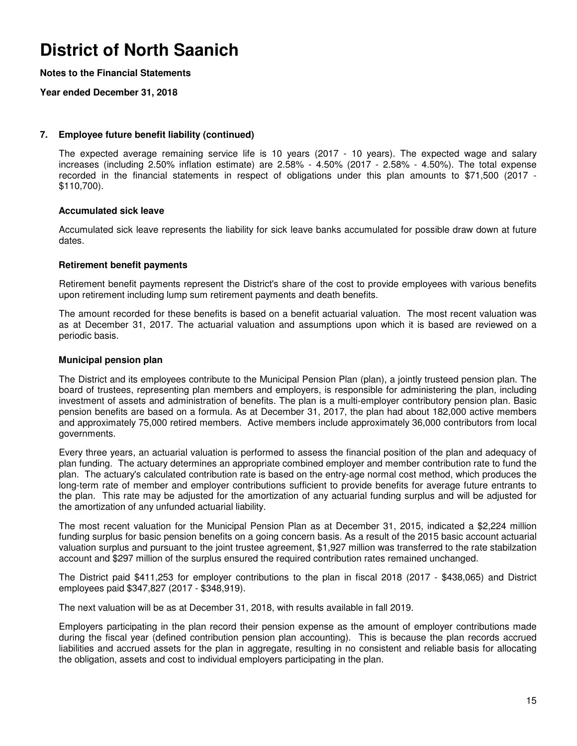#### **Notes to the Financial Statements**

#### **Year ended December 31, 2018**

#### **7. Employee future benefit liability (continued)**

The expected average remaining service life is 10 years (2017 - 10 years). The expected wage and salary increases (including 2.50% inflation estimate) are 2.58% - 4.50% (2017 - 2.58% - 4.50%). The total expense recorded in the financial statements in respect of obligations under this plan amounts to \$71,500 (2017 - \$110,700).

#### **Accumulated sick leave**

Accumulated sick leave represents the liability for sick leave banks accumulated for possible draw down at future dates.

#### **Retirement benefit payments**

Retirement benefit payments represent the District's share of the cost to provide employees with various benefits upon retirement including lump sum retirement payments and death benefits.

The amount recorded for these benefits is based on a benefit actuarial valuation. The most recent valuation was as at December 31, 2017. The actuarial valuation and assumptions upon which it is based are reviewed on a periodic basis.

#### **Municipal pension plan**

The District and its employees contribute to the Municipal Pension Plan (plan), a jointly trusteed pension plan. The board of trustees, representing plan members and employers, is responsible for administering the plan, including investment of assets and administration of benefits. The plan is a multi-employer contributory pension plan. Basic pension benefits are based on a formula. As at December 31, 2017, the plan had about 182,000 active members and approximately 75,000 retired members. Active members include approximately 36,000 contributors from local governments.

Every three years, an actuarial valuation is performed to assess the financial position of the plan and adequacy of plan funding. The actuary determines an appropriate combined employer and member contribution rate to fund the plan. The actuary's calculated contribution rate is based on the entry-age normal cost method, which produces the long-term rate of member and employer contributions sufficient to provide benefits for average future entrants to the plan. This rate may be adjusted for the amortization of any actuarial funding surplus and will be adjusted for the amortization of any unfunded actuarial liability.

The most recent valuation for the Municipal Pension Plan as at December 31, 2015, indicated a \$2,224 million funding surplus for basic pension benefits on a going concern basis. As a result of the 2015 basic account actuarial valuation surplus and pursuant to the joint trustee agreement, \$1,927 million was transferred to the rate stabilzation account and \$297 million of the surplus ensured the required contribution rates remained unchanged.

The District paid \$411,253 for employer contributions to the plan in fiscal 2018 (2017 - \$438,065) and District employees paid \$347,827 (2017 - \$348,919).

The next valuation will be as at December 31, 2018, with results available in fall 2019.

Employers participating in the plan record their pension expense as the amount of employer contributions made during the fiscal year (defined contribution pension plan accounting). This is because the plan records accrued liabilities and accrued assets for the plan in aggregate, resulting in no consistent and reliable basis for allocating the obligation, assets and cost to individual employers participating in the plan.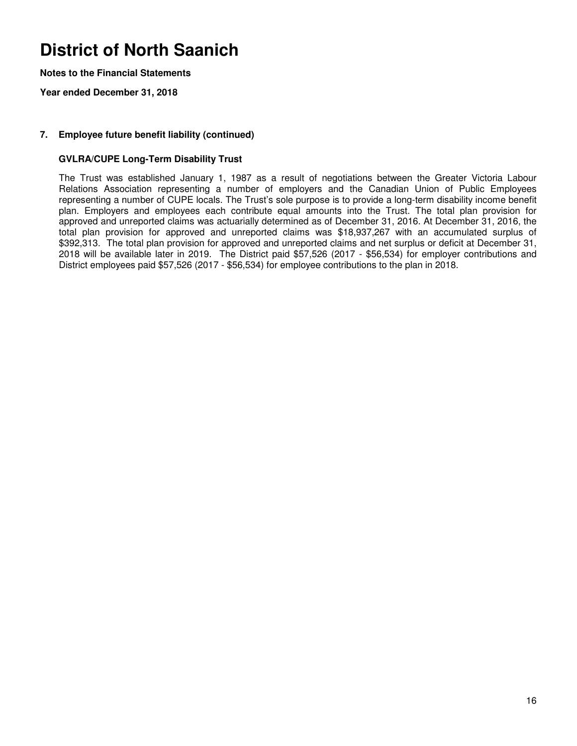#### **Notes to the Financial Statements**

**Year ended December 31, 2018**

#### **7. Employee future benefit liability (continued)**

#### **GVLRA/CUPE Long-Term Disability Trust**

The Trust was established January 1, 1987 as a result of negotiations between the Greater Victoria Labour Relations Association representing a number of employers and the Canadian Union of Public Employees representing a number of CUPE locals. The Trust's sole purpose is to provide a long-term disability income benefit plan. Employers and employees each contribute equal amounts into the Trust. The total plan provision for approved and unreported claims was actuarially determined as of December 31, 2016. At December 31, 2016, the total plan provision for approved and unreported claims was \$18,937,267 with an accumulated surplus of \$392,313. The total plan provision for approved and unreported claims and net surplus or deficit at December 31, 2018 will be available later in 2019. The District paid \$57,526 (2017 - \$56,534) for employer contributions and District employees paid \$57,526 (2017 - \$56,534) for employee contributions to the plan in 2018.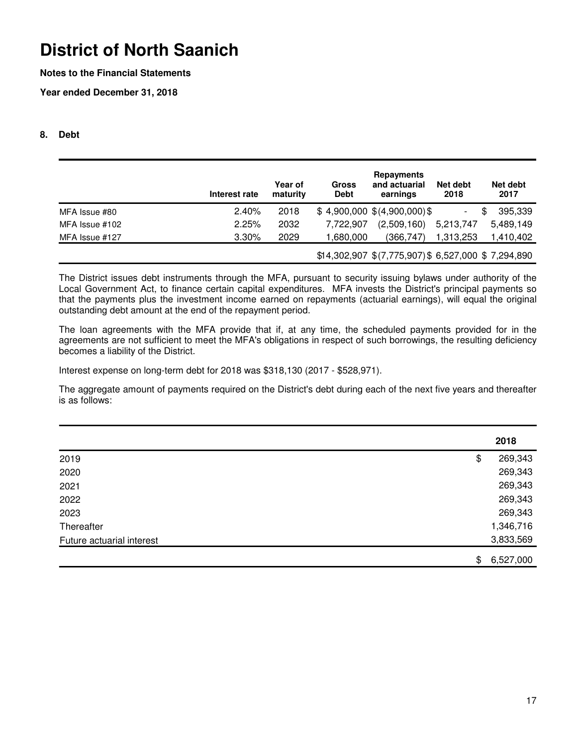### **Notes to the Financial Statements**

**Year ended December 31, 2018**

#### **8. Debt**

|                | Interest rate | Year of<br>maturity | <b>Gross</b><br><b>Debt</b> | <b>Repayments</b><br>and actuarial<br>earnings       | Net debt<br>2018 | Net debt<br>2017 |
|----------------|---------------|---------------------|-----------------------------|------------------------------------------------------|------------------|------------------|
| MFA Issue #80  | 2.40%         | 2018                |                             | $$4,900,000$ $$(4,900,000)$ \$                       |                  | 395,339<br>\$    |
| MFA Issue #102 | 2.25%         | 2032                | 7.722.907                   | (2,509,160)                                          | 5,213,747        | 5,489,149        |
| MFA Issue #127 | $3.30\%$      | 2029                | 1,680,000                   | (366,747)                                            | 1,313,253        | 1,410,402        |
|                |               |                     |                             | $$14,302,907$ $$(7,775,907)$ \$6,527,000 \$7,294,890 |                  |                  |

The District issues debt instruments through the MFA, pursuant to security issuing bylaws under authority of the Local Government Act, to finance certain capital expenditures. MFA invests the District's principal payments so that the payments plus the investment income earned on repayments (actuarial earnings), will equal the original outstanding debt amount at the end of the repayment period.

The loan agreements with the MFA provide that if, at any time, the scheduled payments provided for in the agreements are not sufficient to meet the MFA's obligations in respect of such borrowings, the resulting deficiency becomes a liability of the District.

Interest expense on long-term debt for 2018 was \$318,130 (2017 - \$528,971).

The aggregate amount of payments required on the District's debt during each of the next five years and thereafter is as follows:

|                           | 2018            |
|---------------------------|-----------------|
| 2019                      | \$<br>269,343   |
| 2020                      | 269,343         |
| 2021                      | 269,343         |
| 2022                      | 269,343         |
| 2023                      | 269,343         |
| Thereafter                | 1,346,716       |
| Future actuarial interest | 3,833,569       |
|                           | \$<br>6,527,000 |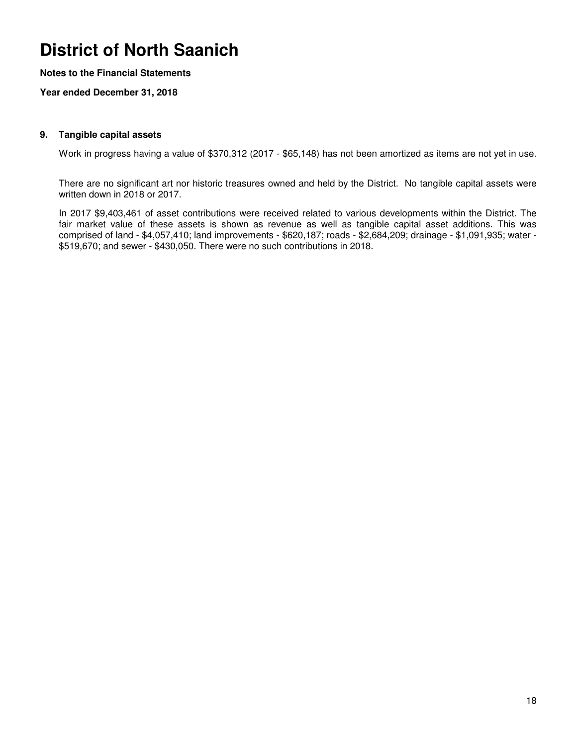### **Notes to the Financial Statements**

**Year ended December 31, 2018**

#### **9. Tangible capital assets**

Work in progress having a value of \$370,312 (2017 - \$65,148) has not been amortized as items are not yet in use.

There are no significant art nor historic treasures owned and held by the District. No tangible capital assets were written down in 2018 or 2017.

In 2017 \$9,403,461 of asset contributions were received related to various developments within the District. The fair market value of these assets is shown as revenue as well as tangible capital asset additions. This was comprised of land - \$4,057,410; land improvements - \$620,187; roads - \$2,684,209; drainage - \$1,091,935; water - \$519,670; and sewer - \$430,050. There were no such contributions in 2018.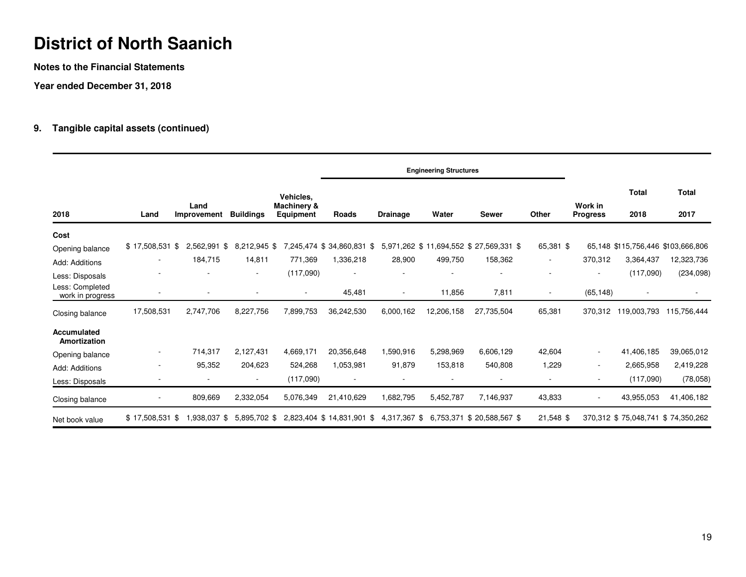**Notes to the Financial Statements**

**Year ended December 31, 2018**

#### **9. Tangible capital assets (continued)**

|                                     |                          |                          |                          |                                       | <b>Engineering Structures</b> |                          |            |                            |           |                            |                                    |                          |
|-------------------------------------|--------------------------|--------------------------|--------------------------|---------------------------------------|-------------------------------|--------------------------|------------|----------------------------|-----------|----------------------------|------------------------------------|--------------------------|
| 2018                                | Land                     | Land<br>Improvement      | <b>Buildings</b>         | Vehicles,<br>Machinery &<br>Equipment | Roads                         | <b>Drainage</b>          | Water      | <b>Sewer</b>               | Other     | Work in<br><b>Progress</b> | <b>Total</b><br>2018               | <b>Total</b><br>2017     |
| Cost<br>Opening balance             | $$17,508,531$ \$         | 2,562,991 \$             | 8,212,945 \$             |                                       | 7,245,474 \$34,860,831 \$     | 5,971,262 \$11           |            | ,694,552 \$ 27,569,331 \$  | 65,381 \$ |                            | 65,148 \$115,756,446 \$103,666,806 |                          |
| Add: Additions                      | $\overline{\phantom{a}}$ | 184,715                  | 14,811                   | 771,369                               | 1,336,218                     | 28,900                   | 499,750    | 158,362                    |           | 370,312                    | 3,364,437                          | 12,323,736               |
| Less: Disposals                     |                          |                          | $\overline{\phantom{a}}$ | (117,090)                             | $\overline{\phantom{m}}$      |                          |            |                            |           | -                          | (117,090)                          | (234, 098)               |
| Less: Completed<br>work in progress |                          |                          | ٠                        | $\overline{\phantom{a}}$              | 45,481                        | $\overline{\phantom{a}}$ | 11,856     | 7,811                      |           | (65, 148)                  | $\overline{\phantom{a}}$           | $\overline{\phantom{a}}$ |
| Closing balance                     | 17,508,531               | 2,747,706                | 8,227,756                | 7,899,753                             | 36,242,530                    | 6,000,162                | 12,206,158 | 27,735,504                 | 65,381    | 370,312                    | 119,003,793                        | 115,756,444              |
| Accumulated<br>Amortization         |                          |                          |                          |                                       |                               |                          |            |                            |           |                            |                                    |                          |
| Opening balance                     | $\overline{\phantom{a}}$ | 714,317                  | 2,127,431                | 4,669,171                             | 20,356,648                    | 1,590,916                | 5,298,969  | 6,606,129                  | 42,604    | $\overline{\phantom{a}}$   | 41,406,185                         | 39,065,012               |
| Add: Additions                      |                          | 95,352                   | 204,623                  | 524,268                               | 1,053,981                     | 91,879                   | 153,818    | 540,808                    | 1,229     | ٠                          | 2,665,958                          | 2,419,228                |
| Less: Disposals                     | $\overline{\phantom{a}}$ | $\overline{\phantom{a}}$ | $\overline{\phantom{a}}$ | (117,090)                             | $\overline{\phantom{a}}$      | $\overline{\phantom{a}}$ |            |                            |           | ۰                          | (117,090)                          | (78, 058)                |
| Closing balance                     |                          | 809,669                  | 2,332,054                | 5,076,349                             | 21,410,629                    | 1,682,795                | 5,452,787  | 7,146,937                  | 43,833    | $\overline{\phantom{a}}$   | 43,955,053                         | 41,406,182               |
| Net book value                      | $$17,508,531$ \$         | 1,938,037\$              | 5,895,702 \$             |                                       | 2,823,404 \$14,831,901<br>\$  | 4,317,367 \$             |            | 6,753,371 \$ 20,588,567 \$ | 21,548 \$ |                            | 370,312 \$75,048,741 \$74,350,262  |                          |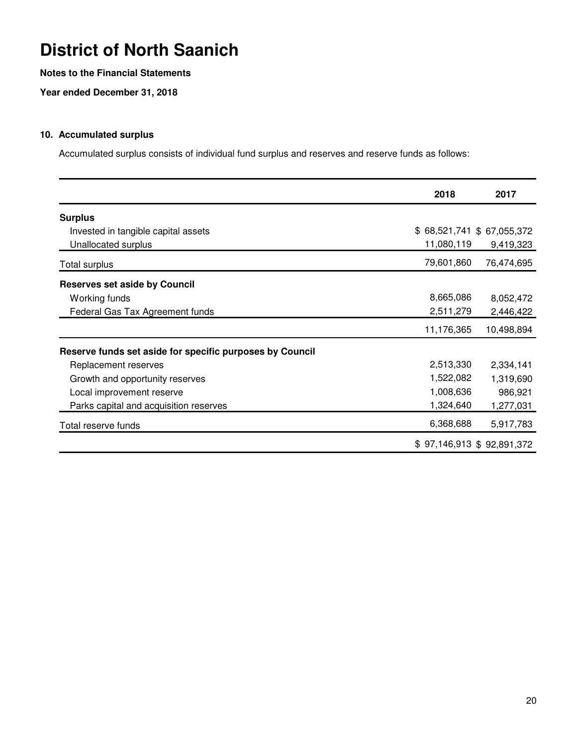### **Notes to the Financial Statements**

**Year ended December 31, 2018**

### **10. Accumulated surplus**

Accumulated surplus consists of individual fund surplus and reserves and reserve funds as follows:

|                                                          | 2018       | 2017                      |
|----------------------------------------------------------|------------|---------------------------|
| <b>Surplus</b>                                           |            |                           |
| Invested in tangible capital assets                      |            | \$68,521,741 \$67,055,372 |
| Unallocated surplus                                      | 11,080,119 | 9,419,323                 |
| <b>Total surplus</b>                                     | 79,601,860 | 76,474,695                |
| <b>Reserves set aside by Council</b>                     |            |                           |
| Working funds                                            | 8,665,086  | 8,052,472                 |
| Federal Gas Tax Agreement funds                          | 2,511,279  | 2,446,422                 |
|                                                          | 11,176,365 | 10,498,894                |
| Reserve funds set aside for specific purposes by Council |            |                           |
| Replacement reserves                                     | 2,513,330  | 2,334,141                 |
| Growth and opportunity reserves                          | 1,522,082  | 1,319,690                 |
| Local improvement reserve                                | 1,008,636  | 986,921                   |
| Parks capital and acquisition reserves                   | 1,324,640  | 1,277,031                 |
| Total reserve funds                                      | 6,368,688  | 5,917,783                 |
|                                                          |            | \$97,146,913 \$92,891,372 |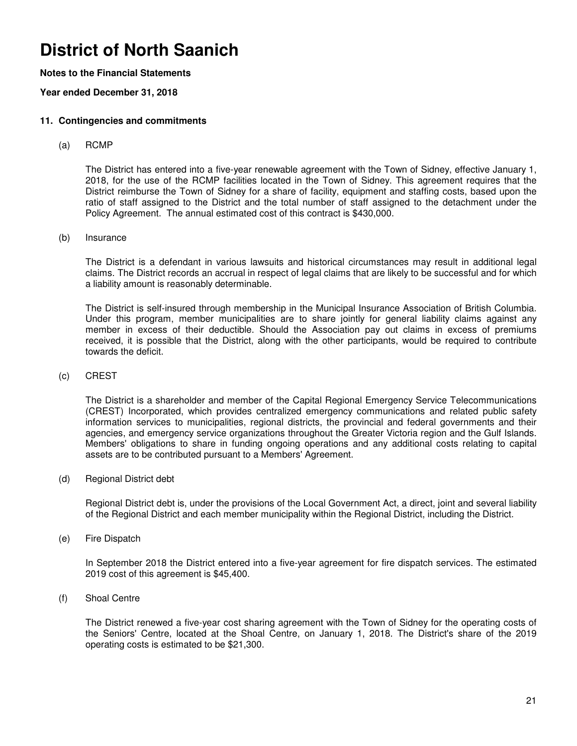#### **Notes to the Financial Statements**

#### **Year ended December 31, 2018**

#### **11. Contingencies and commitments**

(a) RCMP

The District has entered into a five-year renewable agreement with the Town of Sidney, effective January 1, 2018, for the use of the RCMP facilities located in the Town of Sidney. This agreement requires that the District reimburse the Town of Sidney for a share of facility, equipment and staffing costs, based upon the ratio of staff assigned to the District and the total number of staff assigned to the detachment under the Policy Agreement. The annual estimated cost of this contract is \$430,000.

(b) Insurance

The District is a defendant in various lawsuits and historical circumstances may result in additional legal claims. The District records an accrual in respect of legal claims that are likely to be successful and for which a liability amount is reasonably determinable.

The District is self-insured through membership in the Municipal Insurance Association of British Columbia. Under this program, member municipalities are to share jointly for general liability claims against any member in excess of their deductible. Should the Association pay out claims in excess of premiums received, it is possible that the District, along with the other participants, would be required to contribute towards the deficit.

(c) CREST

The District is a shareholder and member of the Capital Regional Emergency Service Telecommunications (CREST) Incorporated, which provides centralized emergency communications and related public safety information services to municipalities, regional districts, the provincial and federal governments and their agencies, and emergency service organizations throughout the Greater Victoria region and the Gulf Islands. Members' obligations to share in funding ongoing operations and any additional costs relating to capital assets are to be contributed pursuant to a Members' Agreement.

(d) Regional District debt

Regional District debt is, under the provisions of the Local Government Act, a direct, joint and several liability of the Regional District and each member municipality within the Regional District, including the District.

(e) Fire Dispatch

In September 2018 the District entered into a five-year agreement for fire dispatch services. The estimated 2019 cost of this agreement is \$45,400.

(f) Shoal Centre

The District renewed a five-year cost sharing agreement with the Town of Sidney for the operating costs of the Seniors' Centre, located at the Shoal Centre, on January 1, 2018. The District's share of the 2019 operating costs is estimated to be \$21,300.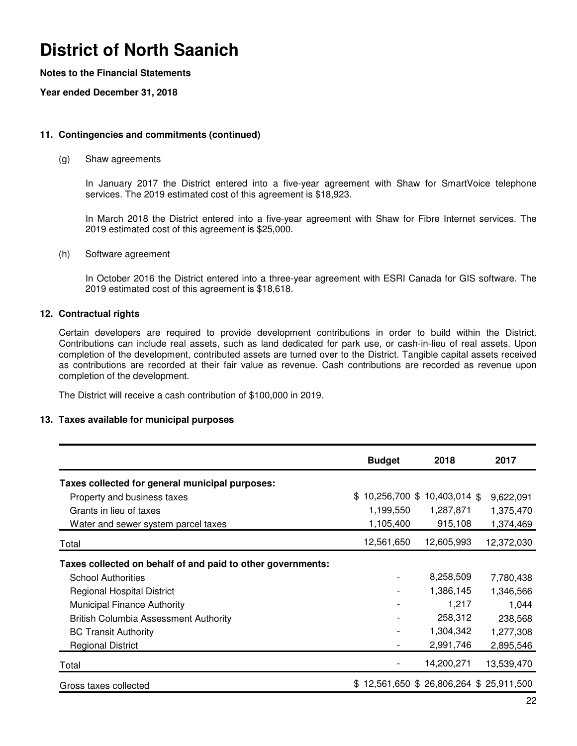#### **Notes to the Financial Statements**

**Year ended December 31, 2018**

#### **11. Contingencies and commitments (continued)**

(g) Shaw agreements

In January 2017 the District entered into a five-year agreement with Shaw for SmartVoice telephone services. The 2019 estimated cost of this agreement is \$18,923.

In March 2018 the District entered into a five-year agreement with Shaw for Fibre Internet services. The 2019 estimated cost of this agreement is \$25,000.

(h) Software agreement

In October 2016 the District entered into a three-year agreement with ESRI Canada for GIS software. The 2019 estimated cost of this agreement is \$18,618.

#### **12. Contractual rights**

Certain developers are required to provide development contributions in order to build within the District. Contributions can include real assets, such as land dedicated for park use, or cash-in-lieu of real assets. Upon completion of the development, contributed assets are turned over to the District. Tangible capital assets received as contributions are recorded at their fair value as revenue. Cash contributions are recorded as revenue upon completion of the development.

The District will receive a cash contribution of \$100,000 in 2019.

#### **13. Taxes available for municipal purposes**

|                                                             | <b>Budget</b> | 2018                                   | 2017       |
|-------------------------------------------------------------|---------------|----------------------------------------|------------|
| Taxes collected for general municipal purposes:             |               |                                        |            |
| Property and business taxes                                 | \$.           | 10,256,700 \$ 10,403,014 \$            | 9,622,091  |
| Grants in lieu of taxes                                     | 1,199,550     | 1,287,871                              | 1,375,470  |
| Water and sewer system parcel taxes                         | 1,105,400     | 915,108                                | 1,374,469  |
| Total                                                       | 12,561,650    | 12,605,993                             | 12,372,030 |
| Taxes collected on behalf of and paid to other governments: |               |                                        |            |
| <b>School Authorities</b>                                   |               | 8,258,509                              | 7,780,438  |
| <b>Regional Hospital District</b>                           |               | 1,386,145                              | 1,346,566  |
| <b>Municipal Finance Authority</b>                          |               | 1,217                                  | 1,044      |
| <b>British Columbia Assessment Authority</b>                |               | 258,312                                | 238,568    |
| <b>BC Transit Authority</b>                                 |               | 1,304,342                              | 1,277,308  |
| <b>Regional District</b>                                    |               | 2,991,746                              | 2,895,546  |
| Total                                                       |               | 14,200,271                             | 13,539,470 |
| Gross taxes collected                                       | \$.           | 12,561,650 \$ 26,806,264 \$ 25,911,500 |            |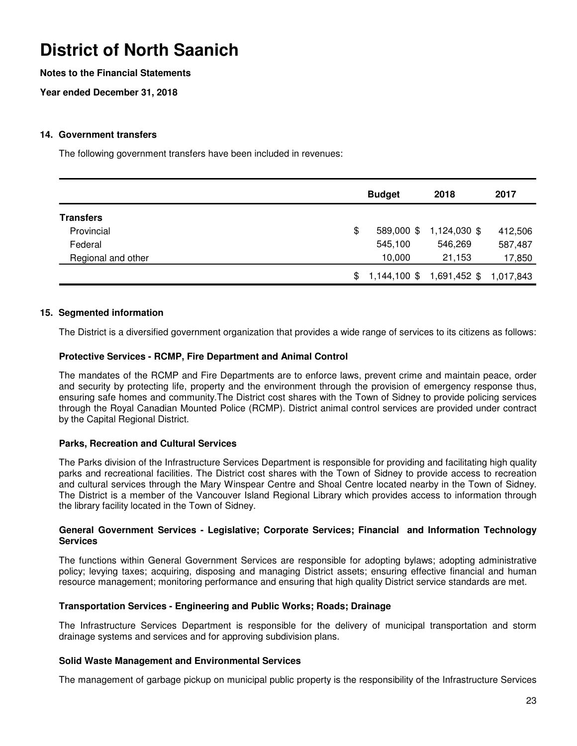### **Notes to the Financial Statements**

**Year ended December 31, 2018**

#### **14. Government transfers**

The following government transfers have been included in revenues:

|                    | <b>Budget</b>                          | 2018         | 2017    |
|--------------------|----------------------------------------|--------------|---------|
| <b>Transfers</b>   |                                        |              |         |
| Provincial         | \$<br>589,000 \$                       | 1,124,030 \$ | 412,506 |
| Federal            | 545,100                                | 546,269      | 587,487 |
| Regional and other | 10,000                                 | 21,153       | 17,850  |
|                    | $$1,144,100$ $$1,691,452$ $$1,017,843$ |              |         |

#### **15. Segmented information**

The District is a diversified government organization that provides a wide range of services to its citizens as follows:

#### **Protective Services - RCMP, Fire Department and Animal Control**

The mandates of the RCMP and Fire Departments are to enforce laws, prevent crime and maintain peace, order and security by protecting life, property and the environment through the provision of emergency response thus, ensuring safe homes and community.The District cost shares with the Town of Sidney to provide policing services through the Royal Canadian Mounted Police (RCMP). District animal control services are provided under contract by the Capital Regional District.

#### **Parks, Recreation and Cultural Services**

The Parks division of the Infrastructure Services Department is responsible for providing and facilitating high quality parks and recreational facilities. The District cost shares with the Town of Sidney to provide access to recreation and cultural services through the Mary Winspear Centre and Shoal Centre located nearby in the Town of Sidney. The District is a member of the Vancouver Island Regional Library which provides access to information through the library facility located in the Town of Sidney.

#### **General Government Services - Legislative; Corporate Services; Financial and Information Technology Services**

The functions within General Government Services are responsible for adopting bylaws; adopting administrative policy; levying taxes; acquiring, disposing and managing District assets; ensuring effective financial and human resource management; monitoring performance and ensuring that high quality District service standards are met.

#### **Transportation Services - Engineering and Public Works; Roads; Drainage**

The Infrastructure Services Department is responsible for the delivery of municipal transportation and storm drainage systems and services and for approving subdivision plans.

#### **Solid Waste Management and Environmental Services**

The management of garbage pickup on municipal public property is the responsibility of the Infrastructure Services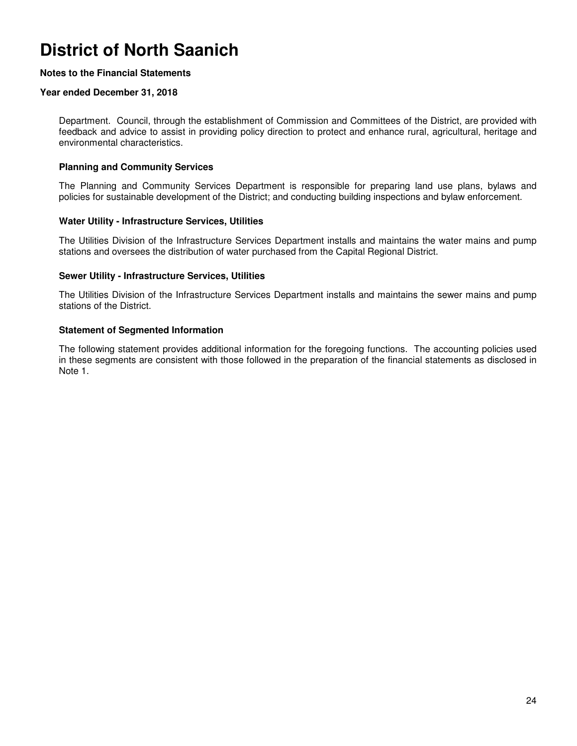#### **Notes to the Financial Statements**

#### **Year ended December 31, 2018**

Department. Council, through the establishment of Commission and Committees of the District, are provided with feedback and advice to assist in providing policy direction to protect and enhance rural, agricultural, heritage and environmental characteristics.

#### **Planning and Community Services**

The Planning and Community Services Department is responsible for preparing land use plans, bylaws and policies for sustainable development of the District; and conducting building inspections and bylaw enforcement.

#### **Water Utility - Infrastructure Services, Utilities**

The Utilities Division of the Infrastructure Services Department installs and maintains the water mains and pump stations and oversees the distribution of water purchased from the Capital Regional District.

#### **Sewer Utility - Infrastructure Services, Utilities**

The Utilities Division of the Infrastructure Services Department installs and maintains the sewer mains and pump stations of the District.

#### **Statement of Segmented Information**

The following statement provides additional information for the foregoing functions. The accounting policies used in these segments are consistent with those followed in the preparation of the financial statements as disclosed in Note 1.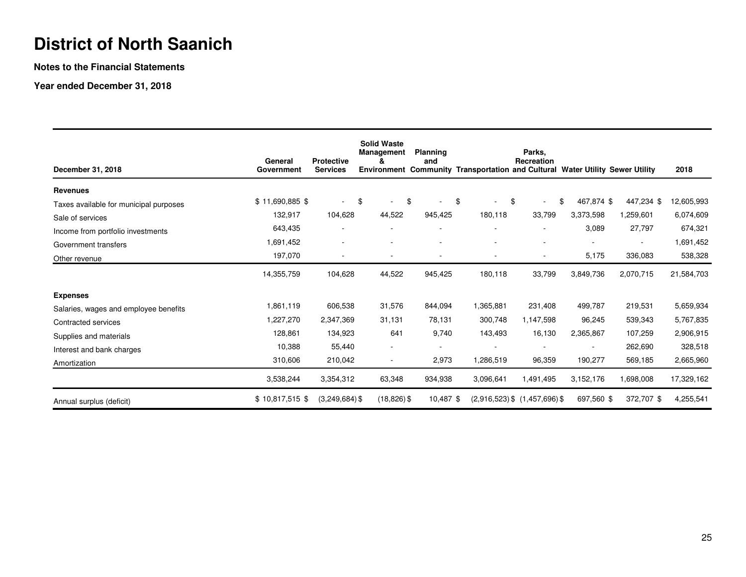**Notes to the Financial Statements**

**Year ended December 31, 2018**

| December 31, 2018                      | General<br>Government | <b>Protective</b><br><b>Services</b> | <b>Solid Waste</b><br><b>Management</b> | Planning<br>and          | Environment Community Transportation and Cultural Water Utility Sewer Utility | Parks,<br>Recreation              |                  |                          | 2018       |
|----------------------------------------|-----------------------|--------------------------------------|-----------------------------------------|--------------------------|-------------------------------------------------------------------------------|-----------------------------------|------------------|--------------------------|------------|
| <b>Revenues</b>                        |                       |                                      |                                         |                          |                                                                               |                                   |                  |                          |            |
| Taxes available for municipal purposes | \$11,690,885 \$       | ٠.                                   | \$                                      | \$                       | \$                                                                            | \$<br>$\sim$                      | \$<br>467,874 \$ | 447,234 \$               | 12,605,993 |
| Sale of services                       | 132,917               | 104,628                              | 44,522                                  | 945,425                  | 180,118                                                                       | 33,799                            | 3,373,598        | 1,259,601                | 6,074,609  |
| Income from portfolio investments      | 643,435               | ۰                                    | ۰                                       |                          |                                                                               |                                   | 3,089            | 27,797                   | 674,321    |
| Government transfers                   | 1,691,452             | ٠                                    | $\overline{\phantom{a}}$                | ۰                        | $\sim$                                                                        |                                   | $\sim$           | $\overline{\phantom{a}}$ | 1,691,452  |
| Other revenue                          | 197,070               | $\overline{\phantom{a}}$             | $\overline{\phantom{a}}$                |                          | $\overline{\phantom{a}}$                                                      |                                   | 5,175            | 336,083                  | 538,328    |
|                                        | 14,355,759            | 104,628                              | 44,522                                  | 945,425                  | 180,118                                                                       | 33,799                            | 3,849,736        | 2,070,715                | 21,584,703 |
| <b>Expenses</b>                        |                       |                                      |                                         |                          |                                                                               |                                   |                  |                          |            |
| Salaries, wages and employee benefits  | 1,861,119             | 606,538                              | 31,576                                  | 844,094                  | 1,365,881                                                                     | 231,408                           | 499,787          | 219,531                  | 5,659,934  |
| Contracted services                    | 1,227,270             | 2,347,369                            | 31,131                                  | 78,131                   | 300,748                                                                       | 1,147,598                         | 96,245           | 539,343                  | 5,767,835  |
| Supplies and materials                 | 128,861               | 134,923                              | 641                                     | 9.740                    | 143,493                                                                       | 16,130                            | 2,365,867        | 107,259                  | 2,906,915  |
| Interest and bank charges              | 10,388                | 55,440                               | -                                       | $\overline{\phantom{a}}$ |                                                                               |                                   |                  | 262,690                  | 328,518    |
| Amortization                           | 310,606               | 210,042                              | $\overline{\phantom{a}}$                | 2,973                    | 1,286,519                                                                     | 96,359                            | 190,277          | 569,185                  | 2,665,960  |
|                                        | 3,538,244             | 3,354,312                            | 63,348                                  | 934,938                  | 3,096,641                                                                     | 1,491,495                         | 3,152,176        | 1,698,008                | 17,329,162 |
| Annual surplus (deficit)               | $$10,817,515$ \$      | $(3,249,684)$ \$                     | $(18, 826)$ \$                          | 10,487 \$                |                                                                               | $(2,916,523)$ \$ $(1,457,696)$ \$ | 697,560 \$       | 372,707 \$               | 4,255,541  |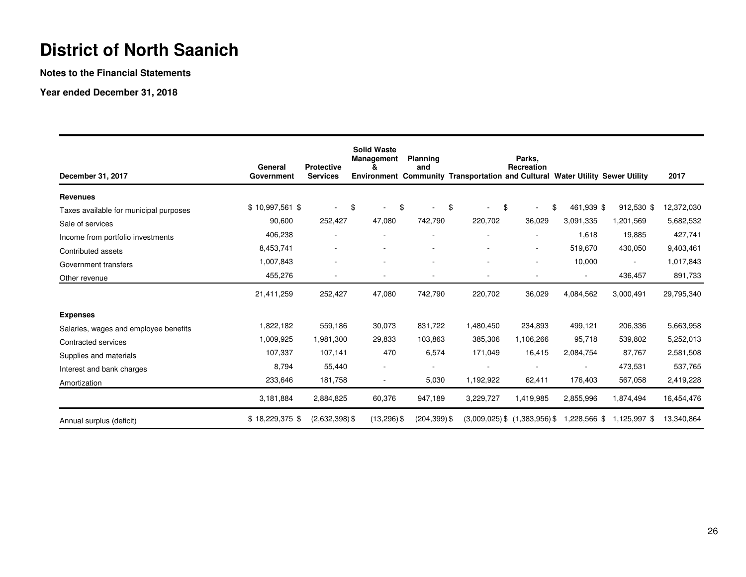**Notes to the Financial Statements**

**Year ended December 31, 2018**

| December 31, 2017                      | General<br>Government | <b>Protective</b><br><b>Services</b> | <b>Solid Waste</b><br>Management<br>& | Planning<br>and          | Environment Community Transportation and Cultural Water Utility Sewer Utility | Parks.<br>Recreation              |                  |              | 2017       |
|----------------------------------------|-----------------------|--------------------------------------|---------------------------------------|--------------------------|-------------------------------------------------------------------------------|-----------------------------------|------------------|--------------|------------|
| <b>Revenues</b>                        |                       |                                      |                                       |                          |                                                                               |                                   |                  |              |            |
| Taxes available for municipal purposes | $$10,997,561$ \$      |                                      | \$                                    | \$                       | \$<br>\$                                                                      |                                   | \$<br>461,939 \$ | 912,530 \$   | 12,372,030 |
| Sale of services                       | 90,600                | 252,427                              | 47,080                                | 742,790                  | 220,702                                                                       | 36,029                            | 3,091,335        | 1,201,569    | 5,682,532  |
| Income from portfolio investments      | 406,238               |                                      |                                       |                          |                                                                               |                                   | 1,618            | 19,885       | 427,741    |
| Contributed assets                     | 8,453,741             |                                      |                                       |                          |                                                                               |                                   | 519,670          | 430,050      | 9,403,461  |
| Government transfers                   | 1,007,843             |                                      |                                       |                          |                                                                               | $\overline{\phantom{a}}$          | 10,000           |              | 1,017,843  |
| Other revenue                          | 455,276               |                                      |                                       |                          |                                                                               |                                   | $\sim$           | 436,457      | 891,733    |
|                                        | 21,411,259            | 252,427                              | 47,080                                | 742,790                  | 220,702                                                                       | 36,029                            | 4,084,562        | 3,000,491    | 29,795,340 |
| <b>Expenses</b>                        |                       |                                      |                                       |                          |                                                                               |                                   |                  |              |            |
| Salaries, wages and employee benefits  | 1,822,182             | 559,186                              | 30,073                                | 831,722                  | 1,480,450                                                                     | 234,893                           | 499,121          | 206,336      | 5,663,958  |
| Contracted services                    | 1,009,925             | 1,981,300                            | 29,833                                | 103,863                  | 385,306                                                                       | 1,106,266                         | 95,718           | 539,802      | 5,252,013  |
| Supplies and materials                 | 107,337               | 107,141                              | 470                                   | 6,574                    | 171,049                                                                       | 16,415                            | 2,084,754        | 87,767       | 2,581,508  |
| Interest and bank charges              | 8,794                 | 55,440                               |                                       | $\overline{\phantom{a}}$ |                                                                               |                                   | ٠                | 473,531      | 537,765    |
| Amortization                           | 233,646               | 181,758                              |                                       | 5,030                    | 1,192,922                                                                     | 62,411                            | 176,403          | 567,058      | 2,419,228  |
|                                        | 3,181,884             | 2,884,825                            | 60,376                                | 947,189                  | 3,229,727                                                                     | 1,419,985                         | 2,855,996        | 1,874,494    | 16,454,476 |
| Annual surplus (deficit)               | $$18,229,375$ \$      | $(2,632,398)$ \$                     | $(13,296)$ \$                         | $(204, 399)$ \$          |                                                                               | $(3,009,025)$ \$ $(1,383,956)$ \$ | 1,228,566 \$     | 1,125,997 \$ | 13,340,864 |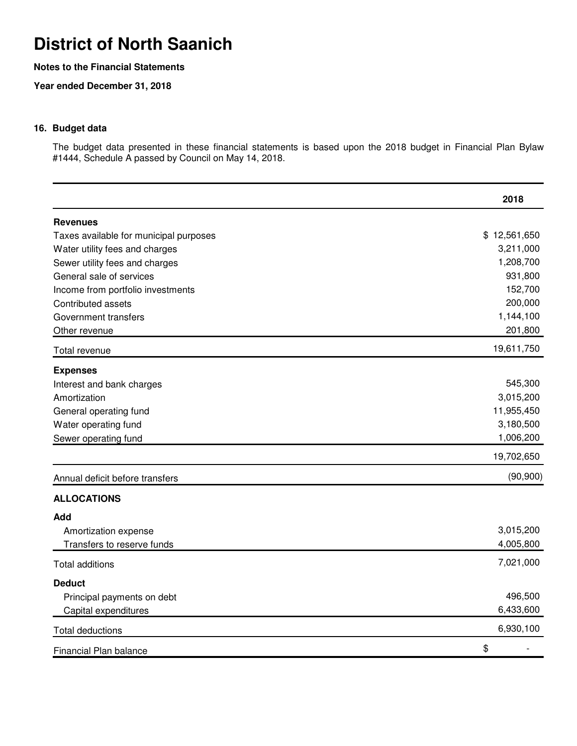### **Notes to the Financial Statements**

**Year ended December 31, 2018**

#### **16. Budget data**

The budget data presented in these financial statements is based upon the 2018 budget in Financial Plan Bylaw #1444, Schedule A passed by Council on May 14, 2018.

|                                        | 2018         |
|----------------------------------------|--------------|
| <b>Revenues</b>                        |              |
| Taxes available for municipal purposes | \$12,561,650 |
| Water utility fees and charges         | 3,211,000    |
| Sewer utility fees and charges         | 1,208,700    |
| General sale of services               | 931,800      |
| Income from portfolio investments      | 152,700      |
| Contributed assets                     | 200,000      |
| Government transfers                   | 1,144,100    |
| Other revenue                          | 201,800      |
| Total revenue                          | 19,611,750   |
| <b>Expenses</b>                        |              |
| Interest and bank charges              | 545,300      |
| Amortization                           | 3,015,200    |
| General operating fund                 | 11,955,450   |
| Water operating fund                   | 3,180,500    |
| Sewer operating fund                   | 1,006,200    |
|                                        | 19,702,650   |
| Annual deficit before transfers        | (90, 900)    |
| <b>ALLOCATIONS</b>                     |              |
| Add                                    |              |
| Amortization expense                   | 3,015,200    |
| Transfers to reserve funds             | 4,005,800    |
| <b>Total additions</b>                 | 7,021,000    |
| <b>Deduct</b>                          |              |
| Principal payments on debt             | 496,500      |
| Capital expenditures                   | 6,433,600    |
| <b>Total deductions</b>                | 6,930,100    |
| Financial Plan balance                 | \$           |